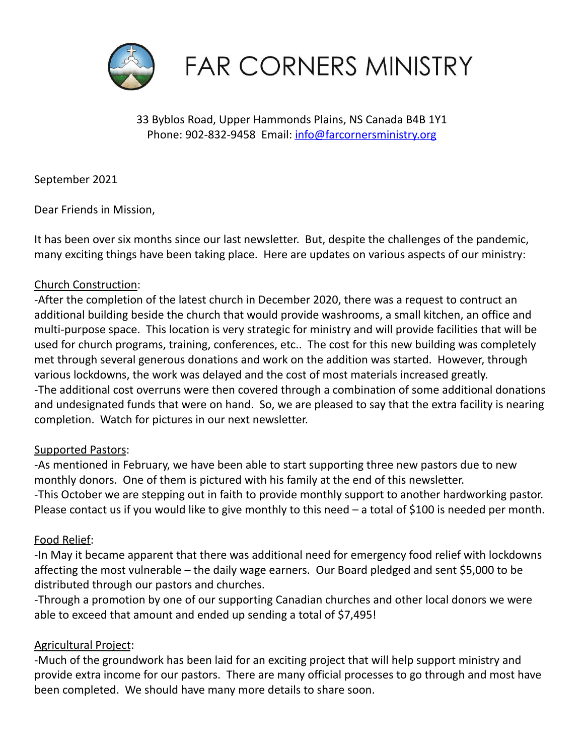

**FAR CORNERS MINISTRY** 

33 Byblos Road, Upper Hammonds Plains, NS Canada B4B 1Y1 Phone: 902-832-9458 Email: [info@farcornersministry.org](mailto:info@farcornersministry.org)

September 2021

Dear Friends in Mission,

It has been over six months since our last newsletter. But, despite the challenges of the pandemic, many exciting things have been taking place. Here are updates on various aspects of our ministry:

## Church Construction:

-After the completion of the latest church in December 2020, there was a request to contruct an additional building beside the church that would provide washrooms, a small kitchen, an office and multi-purpose space. This location is very strategic for ministry and will provide facilities that will be used for church programs, training, conferences, etc.. The cost for this new building was completely met through several generous donations and work on the addition was started. However, through various lockdowns, the work was delayed and the cost of most materials increased greatly. -The additional cost overruns were then covered through a combination of some additional donations and undesignated funds that were on hand. So, we are pleased to say that the extra facility is nearing completion. Watch for pictures in our next newsletter.

### Supported Pastors:

-As mentioned in February, we have been able to start supporting three new pastors due to new monthly donors. One of them is pictured with his family at the end of this newsletter. -This October we are stepping out in faith to provide monthly support to another hardworking pastor. Please contact us if you would like to give monthly to this need – a total of \$100 is needed per month.

### Food Relief:

-In May it became apparent that there was additional need for emergency food relief with lockdowns affecting the most vulnerable – the daily wage earners. Our Board pledged and sent \$5,000 to be distributed through our pastors and churches.

-Through a promotion by one of our supporting Canadian churches and other local donors we were able to exceed that amount and ended up sending a total of \$7,495!

### Agricultural Project:

-Much of the groundwork has been laid for an exciting project that will help support ministry and provide extra income for our pastors. There are many official processes to go through and most have been completed. We should have many more details to share soon.